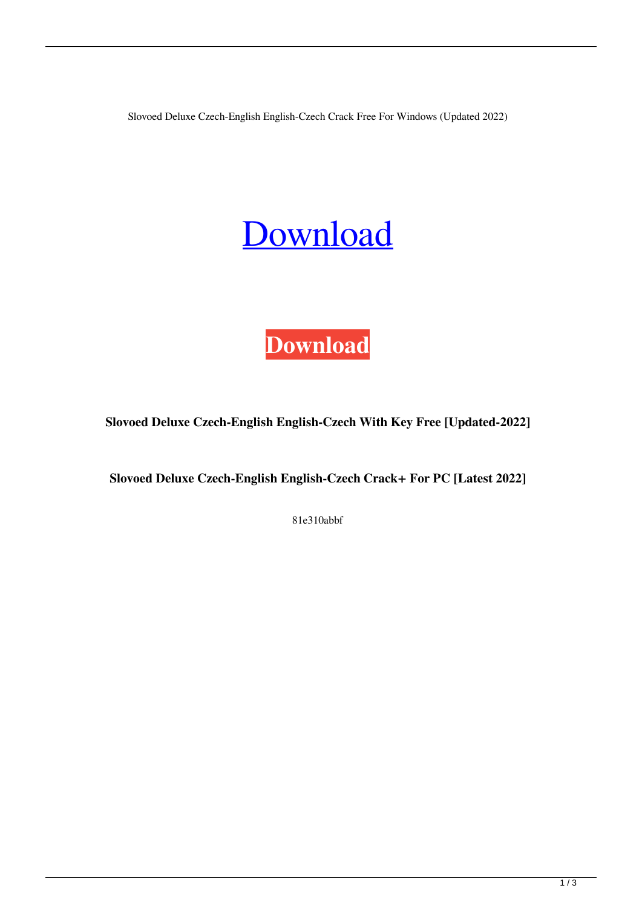Slovoed Deluxe Czech-English English-Czech Crack Free For Windows (Updated 2022)

## **[Download](http://evacdir.com/caregivers.U2xvdm9lZCBEZWx1eGUgQ3plY2gtRW5nbGlzaCBFbmdsaXNoLUN6ZWNoU2x/definiteness/hamlisch/irresolvable/ejection/?ZG93bmxvYWR8UmI3TTNBeGJIeDhNVFkxTkRRek5qWTFPSHg4TWpVNU1IeDhLRTBwSUZkdmNtUndjbVZ6Y3lCYldFMU1VbEJESUZZeUlGQkVSbDA=.ravers)**



**Slovoed Deluxe Czech-English English-Czech With Key Free [Updated-2022]**

**Slovoed Deluxe Czech-English English-Czech Crack+ For PC [Latest 2022]**

81e310abbf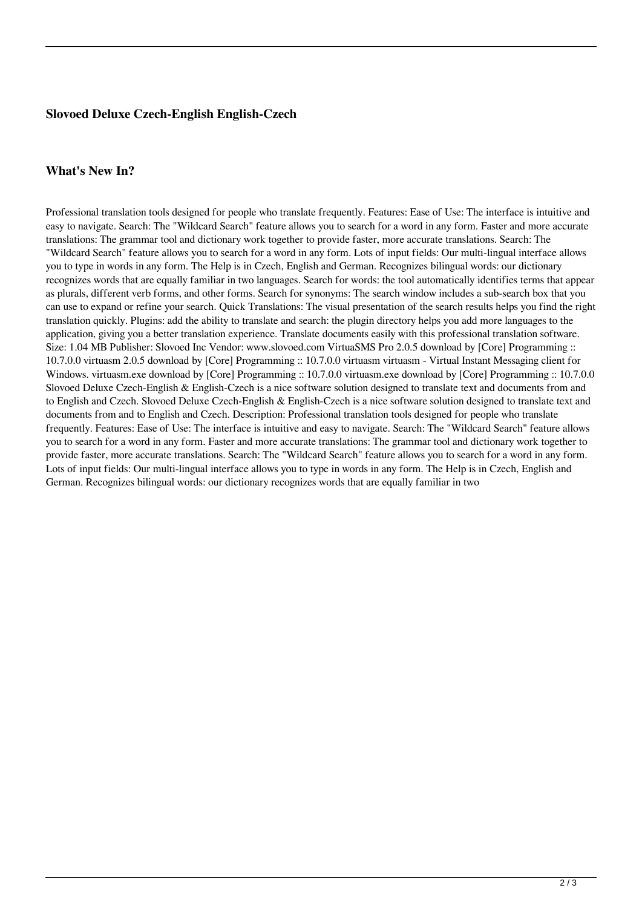## **Slovoed Deluxe Czech-English English-Czech**

## **What's New In?**

Professional translation tools designed for people who translate frequently. Features: Ease of Use: The interface is intuitive and easy to navigate. Search: The "Wildcard Search" feature allows you to search for a word in any form. Faster and more accurate translations: The grammar tool and dictionary work together to provide faster, more accurate translations. Search: The "Wildcard Search" feature allows you to search for a word in any form. Lots of input fields: Our multi-lingual interface allows you to type in words in any form. The Help is in Czech, English and German. Recognizes bilingual words: our dictionary recognizes words that are equally familiar in two languages. Search for words: the tool automatically identifies terms that appear as plurals, different verb forms, and other forms. Search for synonyms: The search window includes a sub-search box that you can use to expand or refine your search. Quick Translations: The visual presentation of the search results helps you find the right translation quickly. Plugins: add the ability to translate and search: the plugin directory helps you add more languages to the application, giving you a better translation experience. Translate documents easily with this professional translation software. Size: 1.04 MB Publisher: Slovoed Inc Vendor: www.slovoed.com VirtuaSMS Pro 2.0.5 download by [Core] Programming :: 10.7.0.0 virtuasm 2.0.5 download by [Core] Programming :: 10.7.0.0 virtuasm virtuasm - Virtual Instant Messaging client for Windows. virtuasm.exe download by [Core] Programming :: 10.7.0.0 virtuasm.exe download by [Core] Programming :: 10.7.0.0 Slovoed Deluxe Czech-English & English-Czech is a nice software solution designed to translate text and documents from and to English and Czech. Slovoed Deluxe Czech-English & English-Czech is a nice software solution designed to translate text and documents from and to English and Czech. Description: Professional translation tools designed for people who translate frequently. Features: Ease of Use: The interface is intuitive and easy to navigate. Search: The "Wildcard Search" feature allows you to search for a word in any form. Faster and more accurate translations: The grammar tool and dictionary work together to provide faster, more accurate translations. Search: The "Wildcard Search" feature allows you to search for a word in any form. Lots of input fields: Our multi-lingual interface allows you to type in words in any form. The Help is in Czech, English and German. Recognizes bilingual words: our dictionary recognizes words that are equally familiar in two